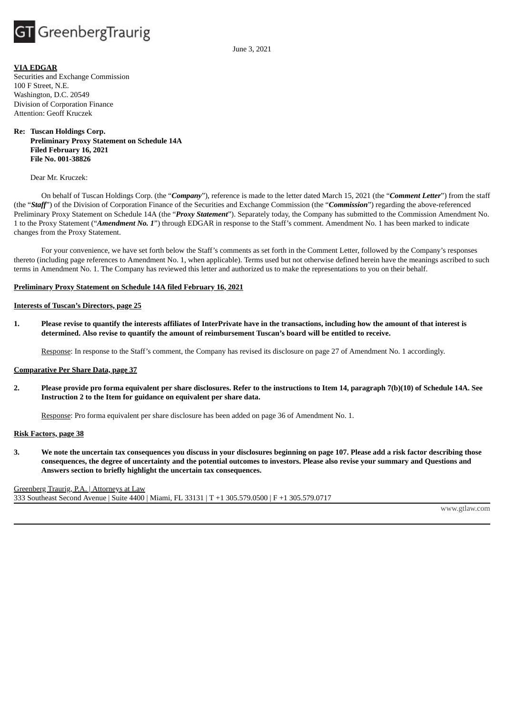

June 3, 2021

#### **VIA EDGAR**

Securities and Exchange Commission 100 F Street, N.E. Washington, D.C. 20549 Division of Corporation Finance Attention: Geoff Kruczek

# **Re: Tuscan Holdings Corp. Preliminary Proxy Statement on Schedule 14A Filed February 16, 2021 File No. 001-38826**

Dear Mr. Kruczek:

On behalf of Tuscan Holdings Corp. (the "*Company*"), reference is made to the letter dated March 15, 2021 (the "*Comment Letter*") from the staff (the "*Staff*") of the Division of Corporation Finance of the Securities and Exchange Commission (the "*Commission*") regarding the above-referenced Preliminary Proxy Statement on Schedule 14A (the "*Proxy Statement*"). Separately today, the Company has submitted to the Commission Amendment No. 1 to the Proxy Statement ("*Amendment No. 1*") through EDGAR in response to the Staff's comment. Amendment No. 1 has been marked to indicate changes from the Proxy Statement.

For your convenience, we have set forth below the Staff's comments as set forth in the Comment Letter, followed by the Company's responses thereto (including page references to Amendment No. 1, when applicable). Terms used but not otherwise defined herein have the meanings ascribed to such terms in Amendment No. 1. The Company has reviewed this letter and authorized us to make the representations to you on their behalf.

#### **Preliminary Proxy Statement on Schedule 14A filed February 16, 2021**

#### **Interests of Tuscan's Directors, page 25**

1. Please revise to quantify the interests affiliates of InterPrivate have in the transactions, including how the amount of that interest is **determined. Also revise to quantify the amount of reimbursement Tuscan's board will be entitled to receive.**

Response: In response to the Staff's comment, the Company has revised its disclosure on page 27 of Amendment No. 1 accordingly.

#### **Comparative Per Share Data, page 37**

2. Please provide pro forma equivalent per share disclosures. Refer to the instructions to Item 14, paragraph 7(b)(10) of Schedule 14A. See **Instruction 2 to the Item for guidance on equivalent per share data.**

Response: Pro forma equivalent per share disclosure has been added on page 36 of Amendment No. 1.

#### **Risk Factors, page 38**

3. We note the uncertain tax consequences you discuss in your disclosures beginning on page 107. Please add a risk factor describing those consequences, the degree of uncertainty and the potential outcomes to investors. Please also revise your summary and Questions and **Answers section to briefly highlight the uncertain tax consequences.**

Greenberg Traurig, P.A. | Attorneys at Law 333 Southeast Second Avenue | Suite 4400 | Miami, FL 33131 | T +1 305.579.0500 | F +1 305.579.0717

www.gtlaw.com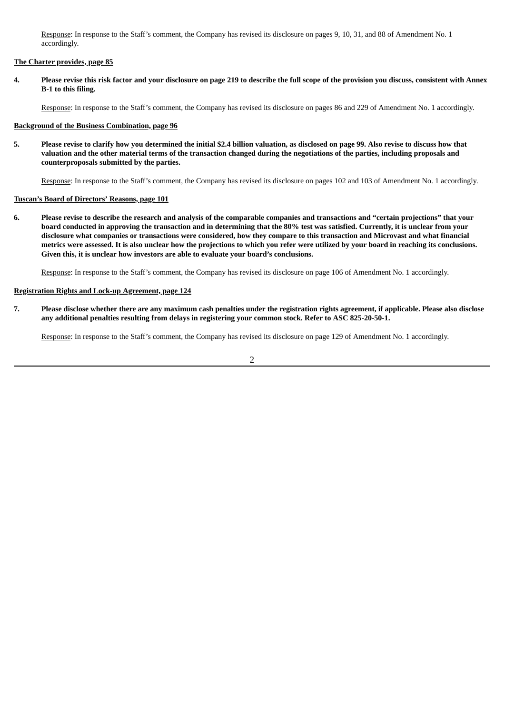Response: In response to the Staff's comment, the Company has revised its disclosure on pages 9, 10, 31, and 88 of Amendment No. 1 accordingly.

# **The Charter provides, page 85**

4. Please revise this risk factor and your disclosure on page 219 to describe the full scope of the provision you discuss, consistent with Annex **B-1 to this filing.**

Response: In response to the Staff's comment, the Company has revised its disclosure on pages 86 and 229 of Amendment No. 1 accordingly.

### **Background of the Business Combination, page 96**

5. Please revise to clarify how you determined the initial \$2.4 billion valuation, as disclosed on page 99. Also revise to discuss how that valuation and the other material terms of the transaction changed during the negotiations of the parties, including proposals and **counterproposals submitted by the parties.**

Response: In response to the Staff's comment, the Company has revised its disclosure on pages 102 and 103 of Amendment No. 1 accordingly.

# **Tuscan's Board of Directors' Reasons, page 101**

6. Please revise to describe the research and analysis of the comparable companies and transactions and "certain projections" that your board conducted in approving the transaction and in determining that the 80% test was satisfied. Currently, it is unclear from your disclosure what companies or transactions were considered, how they compare to this transaction and Microvast and what financial metrics were assessed. It is also unclear how the projections to which you refer were utilized by your board in reaching its conclusions. **Given this, it is unclear how investors are able to evaluate your board's conclusions.**

Response: In response to the Staff's comment, the Company has revised its disclosure on page 106 of Amendment No. 1 accordingly.

#### **Registration Rights and Lock-up Agreement, page 124**

7. Please disclose whether there are any maximum cash penalties under the registration rights agreement, if applicable. Please also disclose **any additional penalties resulting from delays in registering your common stock. Refer to ASC 825-20-50-1.**

Response: In response to the Staff's comment, the Company has revised its disclosure on page 129 of Amendment No. 1 accordingly.

2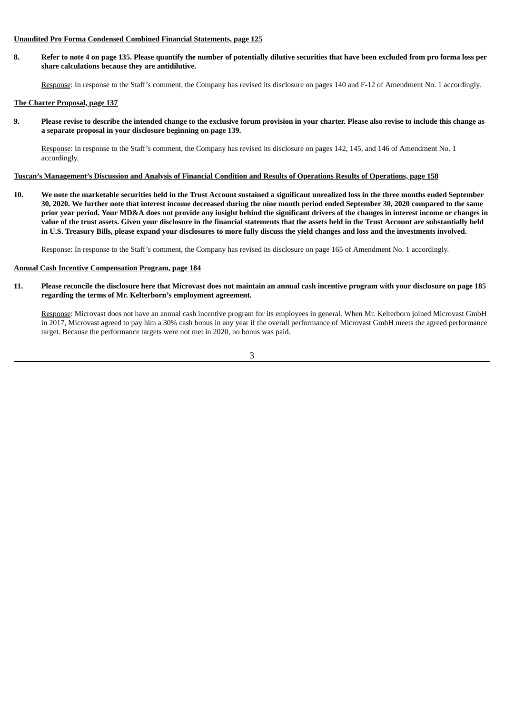# **Unaudited Pro Forma Condensed Combined Financial Statements, page 125**

8. Refer to note 4 on page 135. Please quantify the number of potentially dilutive securities that have been excluded from pro forma loss per **share calculations because they are antidilutive.**

Response: In response to the Staff's comment, the Company has revised its disclosure on pages 140 and F-12 of Amendment No. 1 accordingly.

# **The Charter Proposal, page 137**

9. Please revise to describe the intended change to the exclusive forum provision in your charter. Please also revise to include this change as **a separate proposal in your disclosure beginning on page 139.**

Response: In response to the Staff's comment, the Company has revised its disclosure on pages 142, 145, and 146 of Amendment No. 1 accordingly.

## Tuscan's Management's Discussion and Analysis of Financial Condition and Results of Operations Results of Operations, page 158

10. We note the marketable securities held in the Trust Account sustained a significant unrealized loss in the three months ended September 30, 2020. We further note that interest income decreased during the nine month period ended September 30, 2020 compared to the same prior year period. Your MD&A does not provide any insight behind the significant drivers of the changes in interest income or changes in value of the trust assets. Given your disclosure in the financial statements that the assets held in the Trust Account are substantially held in U.S. Treasury Bills, please expand your disclosures to more fully discuss the yield changes and loss and the investments involved.

Response: In response to the Staff's comment, the Company has revised its disclosure on page 165 of Amendment No. 1 accordingly.

## **Annual Cash Incentive Compensation Program, page 184**

11. Please reconcile the disclosure here that Microvast does not maintain an annual cash incentive program with your disclosure on page 185 **regarding the terms of Mr. Kelterborn's employment agreement.**

Response: Microvast does not have an annual cash incentive program for its employees in general. When Mr. Kelterborn joined Microvast GmbH in 2017, Microvast agreed to pay him a 30% cash bonus in any year if the overall performance of Microvast GmbH meets the agreed performance target. Because the performance targets were not met in 2020, no bonus was paid.

3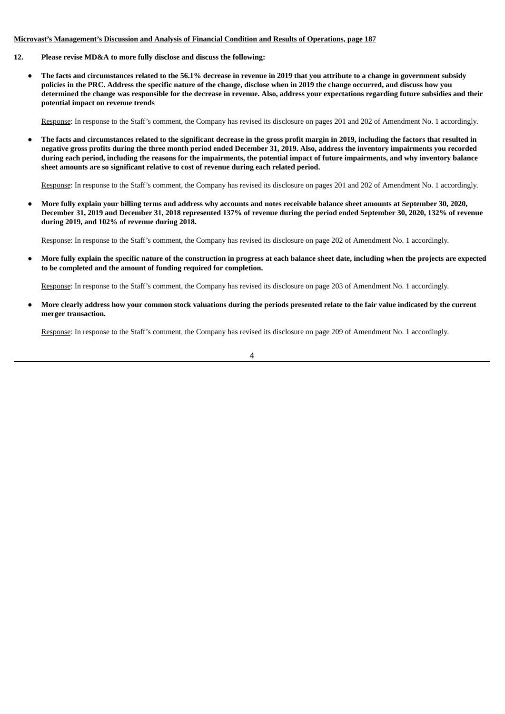# **Microvast's Management's Discussion and Analysis of Financial Condition and Results of Operations, page 187**

- **12. Please revise MD&A to more fully disclose and discuss the following:**
	- The facts and circumstances related to the 56.1% decrease in revenue in 2019 that you attribute to a change in government subsidy policies in the PRC. Address the specific nature of the change, disclose when in 2019 the change occurred, and discuss how you determined the change was responsible for the decrease in revenue. Also, address your expectations regarding future subsidies and their **potential impact on revenue trends**

Response: In response to the Staff's comment, the Company has revised its disclosure on pages 201 and 202 of Amendment No. 1 accordingly.

The facts and circumstances related to the significant decrease in the gross profit margin in 2019, including the factors that resulted in negative gross profits during the three month period ended December 31, 2019. Also, address the inventory impairments you recorded during each period, including the reasons for the impairments, the potential impact of future impairments, and why inventory balance **sheet amounts are so significant relative to cost of revenue during each related period.**

Response: In response to the Staff's comment, the Company has revised its disclosure on pages 201 and 202 of Amendment No. 1 accordingly.

More fully explain your billing terms and address why accounts and notes receivable balance sheet amounts at September 30, 2020, December 31, 2019 and December 31, 2018 represented 137% of revenue during the period ended September 30, 2020, 132% of revenue **during 2019, and 102% of revenue during 2018.**

Response: In response to the Staff's comment, the Company has revised its disclosure on page 202 of Amendment No. 1 accordingly.

More fully explain the specific nature of the construction in progress at each balance sheet date, including when the projects are expected **to be completed and the amount of funding required for completion.**

Response: In response to the Staff's comment, the Company has revised its disclosure on page 203 of Amendment No. 1 accordingly.

More clearly address how your common stock valuations during the periods presented relate to the fair value indicated by the current **merger transaction.**

Response: In response to the Staff's comment, the Company has revised its disclosure on page 209 of Amendment No. 1 accordingly.

4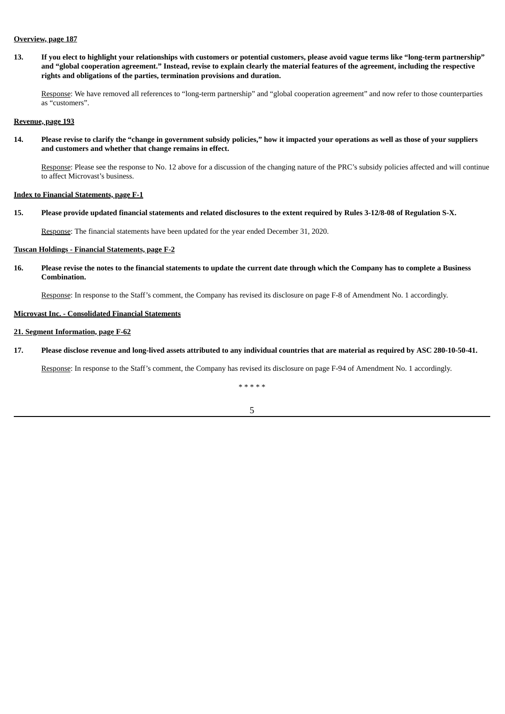#### **Overview, page 187**

13. If you elect to highlight your relationships with customers or potential customers, please avoid vague terms like "long-term partnership" and "global cooperation agreement." Instead, revise to explain clearly the material features of the agreement, including the respective **rights and obligations of the parties, termination provisions and duration.**

Response: We have removed all references to "long-term partnership" and "global cooperation agreement" and now refer to those counterparties as "customers".

**Revenue, page 193**

14. Please revise to clarify the "change in government subsidy policies," how it impacted your operations as well as those of your suppliers **and customers and whether that change remains in effect.**

Response: Please see the response to No. 12 above for a discussion of the changing nature of the PRC's subsidy policies affected and will continue to affect Microvast's business.

#### **Index to Financial Statements, page F-1**

15. Please provide updated financial statements and related disclosures to the extent required by Rules 3-12/8-08 of Regulation S-X.

Response: The financial statements have been updated for the year ended December 31, 2020.

# **Tuscan Holdings - Financial Statements, page F-2**

16. Please revise the notes to the financial statements to update the current date through which the Company has to complete a Business **Combination.**

Response: In response to the Staff's comment, the Company has revised its disclosure on page F-8 of Amendment No. 1 accordingly.

# **Microvast Inc. - Consolidated Financial Statements**

# **21. Segment Information, page F-62**

17. Please disclose revenue and long-lived assets attributed to any individual countries that are material as required by ASC 280-10-50-41.

Response: In response to the Staff's comment, the Company has revised its disclosure on page F-94 of Amendment No. 1 accordingly.

\* \* \* \* \*